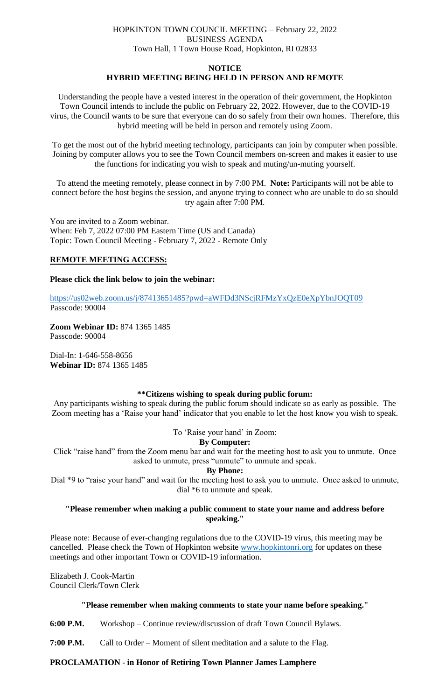## HOPKINTON TOWN COUNCIL MEETING – February 22, 2022 BUSINESS AGENDA Town Hall, 1 Town House Road, Hopkinton, RI 02833

# **NOTICE HYBRID MEETING BEING HELD IN PERSON AND REMOTE**

Understanding the people have a vested interest in the operation of their government, the Hopkinton Town Council intends to include the public on February 22, 2022. However, due to the COVID-19 virus, the Council wants to be sure that everyone can do so safely from their own homes. Therefore, this hybrid meeting will be held in person and remotely using Zoom.

To get the most out of the hybrid meeting technology, participants can join by computer when possible. Joining by computer allows you to see the Town Council members on-screen and makes it easier to use the functions for indicating you wish to speak and muting/un-muting yourself.

To attend the meeting remotely, please connect in by 7:00 PM. **Note:** Participants will not be able to connect before the host begins the session, and anyone trying to connect who are unable to do so should try again after 7:00 PM.

You are invited to a Zoom webinar. When: Feb 7, 2022 07:00 PM Eastern Time (US and Canada) Topic: Town Council Meeting - February 7, 2022 - Remote Only

## **REMOTE MEETING ACCESS:**

## **Please click the link below to join the webinar:**

<https://us02web.zoom.us/j/87413651485?pwd=aWFDd3NScjRFMzYxQzE0eXpYbnJOQT09> Passcode: 90004

**Zoom Webinar ID:** 874 1365 1485 Passcode: 90004

Dial-In: 1-646-558-8656 **Webinar ID:** 874 1365 1485

## **\*\*Citizens wishing to speak during public forum:**

Any participants wishing to speak during the public forum should indicate so as early as possible. The Zoom meeting has a 'Raise your hand' indicator that you enable to let the host know you wish to speak.

To 'Raise your hand' in Zoom:

## **By Computer:**

Click "raise hand" from the Zoom menu bar and wait for the meeting host to ask you to unmute. Once asked to unmute, press "unmute" to unmute and speak.

**By Phone:**

Dial \*9 to "raise your hand" and wait for the meeting host to ask you to unmute. Once asked to unmute, dial \*6 to unmute and speak.

## **"Please remember when making a public comment to state your name and address before speaking."**

Please note: Because of ever-changing regulations due to the COVID-19 virus, this meeting may be cancelled. Please check the Town of Hopkinton website [www.hopkintonri.org](http://www.hopkintonri.org/) for updates on these meetings and other important Town or COVID-19 information.

Elizabeth J. Cook-Martin Council Clerk/Town Clerk

# **"Please remember when making comments to state your name before speaking."**

**6:00 P.M.** Workshop – Continue review/discussion of draft Town Council Bylaws.

**7:00 P.M.** Call to Order – Moment of silent meditation and a salute to the Flag.

# **PROCLAMATION - in Honor of Retiring Town Planner James Lamphere**